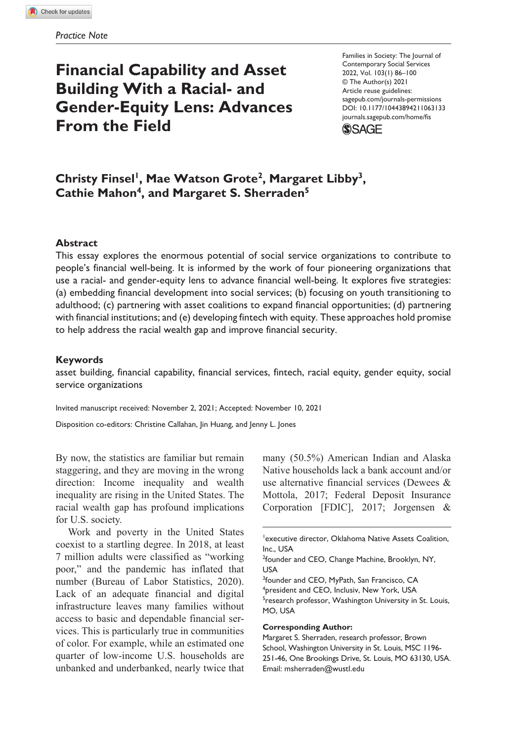# **Financial Capability and Asset Building With a Racial- and Gender-Equity Lens: Advances From the Field**

https://doi.org/10.1177/10443894211063133 DOI: 10.1177/10443894211063133 Families in Society: The Journal of Contemporary Social Services 2022, Vol. 103(1) 86–100 © The Author(s) 2021 Article reuse guidelines: [sagepub.com/journals-permissions](http://sagepub.com/journals-permissions) [journals.sagepub.com/home/fis](https://journals.sagepub.com/home/fis)



# Christy Finsel<sup>1</sup>, Mae Watson Grote<sup>2</sup>, Margaret Libby<sup>3</sup>, Cathie Mahon<sup>4</sup>, and Margaret S. Sherraden<sup>5</sup>

#### **Abstract**

This essay explores the enormous potential of social service organizations to contribute to people's financial well-being. It is informed by the work of four pioneering organizations that use a racial- and gender-equity lens to advance financial well-being. It explores five strategies: (a) embedding financial development into social services; (b) focusing on youth transitioning to adulthood; (c) partnering with asset coalitions to expand financial opportunities; (d) partnering with financial institutions; and (e) developing fintech with equity. These approaches hold promise to help address the racial wealth gap and improve financial security.

#### **Keywords**

asset building, financial capability, financial services, fintech, racial equity, gender equity, social service organizations

Invited manuscript received: November 2, 2021; Accepted: November 10, 2021

Disposition co-editors: Christine Callahan, Jin Huang, and Jenny L. Jones

By now, the statistics are familiar but remain staggering, and they are moving in the wrong direction: Income inequality and wealth inequality are rising in the United States. The racial wealth gap has profound implications for U.S. society.

Work and poverty in the United States coexist to a startling degree. In 2018, at least 7 million adults were classified as "working poor," and the pandemic has inflated that number (Bureau of Labor Statistics, 2020). Lack of an adequate financial and digital infrastructure leaves many families without access to basic and dependable financial services. This is particularly true in communities of color. For example, while an estimated one quarter of low-income U.S. households are unbanked and underbanked, nearly twice that

many (50.5%) American Indian and Alaska Native households lack a bank account and/or use alternative financial services (Dewees & Mottola, 2017; Federal Deposit Insurance Corporation [FDIC], 2017; Jorgensen &

#### **Corresponding Author:**

Margaret S. Sherraden, research professor, Brown School, Washington University in St. Louis, MSC 1196- 251-46, One Brookings Drive, St. Louis, MO 63130, USA. Email: [msherraden@wustl.edu](mailto:msherraden@wustl.edu)

<sup>1</sup> executive director, Oklahoma Native Assets Coalition, Inc., USA

<sup>&</sup>lt;sup>2</sup>founder and CEO, Change Machine, Brooklyn, NY, USA

<sup>&</sup>lt;sup>3</sup>founder and CEO, MyPath, San Francisco, CA 4 president and CEO, Inclusiv, New York, USA <sup>5</sup>research professor, Washington University in St. Louis, MO, USA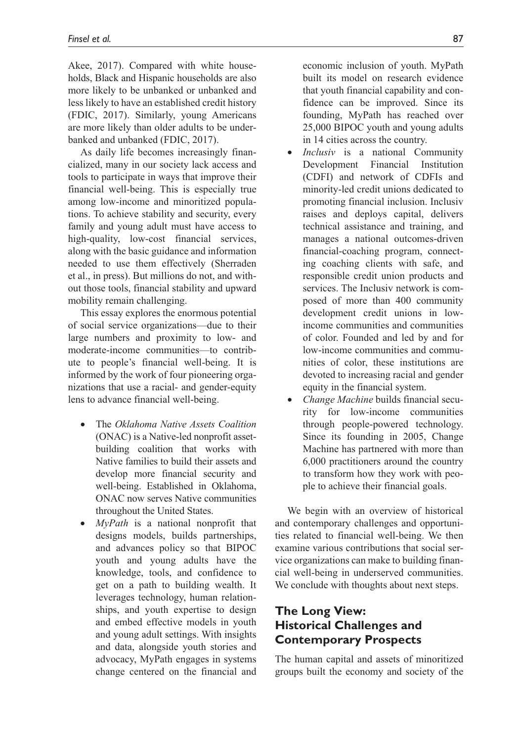Akee, 2017). Compared with white households, Black and Hispanic households are also more likely to be unbanked or unbanked and less likely to have an established credit history (FDIC, 2017). Similarly, young Americans are more likely than older adults to be underbanked and unbanked (FDIC, 2017).

As daily life becomes increasingly financialized, many in our society lack access and tools to participate in ways that improve their financial well-being. This is especially true among low-income and minoritized populations. To achieve stability and security, every family and young adult must have access to high-quality, low-cost financial services, along with the basic guidance and information needed to use them effectively (Sherraden et al., in press). But millions do not, and without those tools, financial stability and upward mobility remain challenging.

This essay explores the enormous potential of social service organizations—due to their large numbers and proximity to low- and moderate-income communities—to contribute to people's financial well-being. It is informed by the work of four pioneering organizations that use a racial- and gender-equity lens to advance financial well-being.

- The *Oklahoma Native Assets Coalition* (ONAC) is a Native-led nonprofit assetbuilding coalition that works with Native families to build their assets and develop more financial security and well-being. Established in Oklahoma, ONAC now serves Native communities throughout the United States.
- *MyPath* is a national nonprofit that designs models, builds partnerships, and advances policy so that BIPOC youth and young adults have the knowledge, tools, and confidence to get on a path to building wealth. It leverages technology, human relationships, and youth expertise to design and embed effective models in youth and young adult settings. With insights and data, alongside youth stories and advocacy, MyPath engages in systems change centered on the financial and

economic inclusion of youth. MyPath built its model on research evidence that youth financial capability and confidence can be improved. Since its founding, MyPath has reached over 25,000 BIPOC youth and young adults in 14 cities across the country.

- *Inclusiv* is a national Community Development Financial Institution (CDFI) and network of CDFIs and minority-led credit unions dedicated to promoting financial inclusion. Inclusiv raises and deploys capital, delivers technical assistance and training, and manages a national outcomes-driven financial-coaching program, connecting coaching clients with safe, and responsible credit union products and services. The Inclusiv network is composed of more than 400 community development credit unions in lowincome communities and communities of color. Founded and led by and for low-income communities and communities of color, these institutions are devoted to increasing racial and gender equity in the financial system.
- *Change Machine* builds financial security for low-income communities through people-powered technology. Since its founding in 2005, Change Machine has partnered with more than 6,000 practitioners around the country to transform how they work with people to achieve their financial goals.

We begin with an overview of historical and contemporary challenges and opportunities related to financial well-being. We then examine various contributions that social service organizations can make to building financial well-being in underserved communities. We conclude with thoughts about next steps.

# **The Long View: Historical Challenges and Contemporary Prospects**

The human capital and assets of minoritized groups built the economy and society of the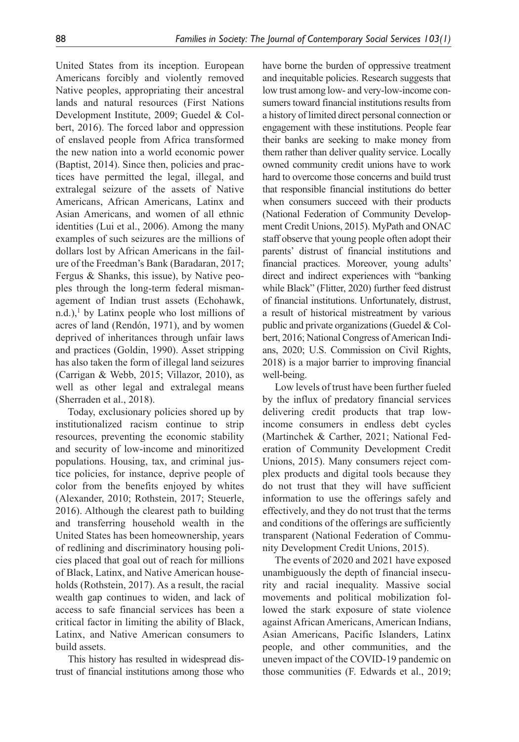United States from its inception. European Americans forcibly and violently removed Native peoples, appropriating their ancestral lands and natural resources (First Nations Development Institute, 2009; Guedel & Colbert, 2016). The forced labor and oppression of enslaved people from Africa transformed the new nation into a world economic power (Baptist, 2014). Since then, policies and practices have permitted the legal, illegal, and extralegal seizure of the assets of Native Americans, African Americans, Latinx and Asian Americans, and women of all ethnic identities (Lui et al., 2006). Among the many examples of such seizures are the millions of dollars lost by African Americans in the failure of the Freedman's Bank (Baradaran, 2017; Fergus & Shanks, this issue), by Native peoples through the long-term federal mismanagement of Indian trust assets (Echohawk,  $n.d.$ ),<sup>1</sup> by Latinx people who lost millions of acres of land (Rendón, 1971), and by women deprived of inheritances through unfair laws and practices (Goldin, 1990). Asset stripping has also taken the form of illegal land seizures (Carrigan & Webb, 2015; Villazor, 2010), as well as other legal and extralegal means (Sherraden et al., 2018).

Today, exclusionary policies shored up by institutionalized racism continue to strip resources, preventing the economic stability and security of low-income and minoritized populations. Housing, tax, and criminal justice policies, for instance, deprive people of color from the benefits enjoyed by whites (Alexander, 2010; Rothstein, 2017; Steuerle, 2016). Although the clearest path to building and transferring household wealth in the United States has been homeownership, years of redlining and discriminatory housing policies placed that goal out of reach for millions of Black, Latinx, and Native American households (Rothstein, 2017). As a result, the racial wealth gap continues to widen, and lack of access to safe financial services has been a critical factor in limiting the ability of Black, Latinx, and Native American consumers to build assets.

This history has resulted in widespread distrust of financial institutions among those who have borne the burden of oppressive treatment and inequitable policies. Research suggests that low trust among low- and very-low-income consumers toward financial institutions results from a history of limited direct personal connection or engagement with these institutions. People fear their banks are seeking to make money from them rather than deliver quality service. Locally owned community credit unions have to work hard to overcome those concerns and build trust that responsible financial institutions do better when consumers succeed with their products (National Federation of Community Development Credit Unions, 2015). MyPath and ONAC staff observe that young people often adopt their parents' distrust of financial institutions and financial practices. Moreover, young adults' direct and indirect experiences with "banking while Black" (Flitter, 2020) further feed distrust of financial institutions. Unfortunately, distrust, a result of historical mistreatment by various public and private organizations (Guedel & Colbert, 2016; National Congress of American Indians, 2020; U.S. Commission on Civil Rights, 2018) is a major barrier to improving financial well-being.

Low levels of trust have been further fueled by the influx of predatory financial services delivering credit products that trap lowincome consumers in endless debt cycles (Martinchek & Carther, 2021; National Federation of Community Development Credit Unions, 2015). Many consumers reject complex products and digital tools because they do not trust that they will have sufficient information to use the offerings safely and effectively, and they do not trust that the terms and conditions of the offerings are sufficiently transparent (National Federation of Community Development Credit Unions, 2015).

The events of 2020 and 2021 have exposed unambiguously the depth of financial insecurity and racial inequality. Massive social movements and political mobilization followed the stark exposure of state violence against African Americans, American Indians, Asian Americans, Pacific Islanders, Latinx people, and other communities, and the uneven impact of the COVID-19 pandemic on those communities (F. Edwards et al., 2019;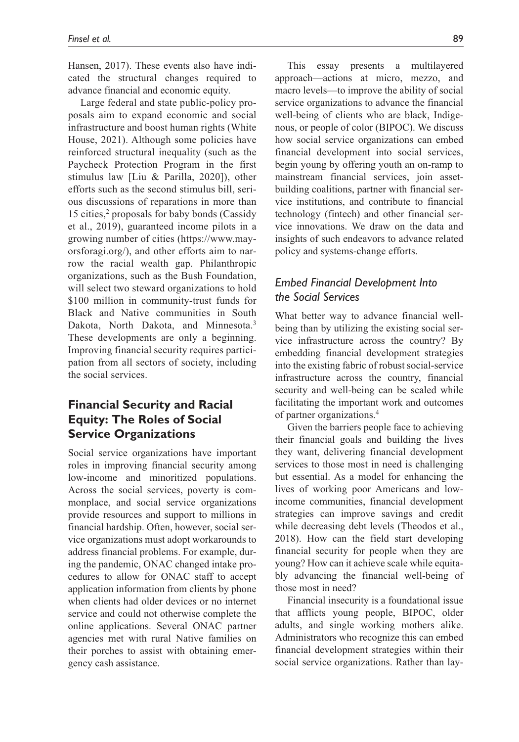Hansen, 2017). These events also have indicated the structural changes required to advance financial and economic equity.

Large federal and state public-policy proposals aim to expand economic and social infrastructure and boost human rights (White House, 2021). Although some policies have reinforced structural inequality (such as the Paycheck Protection Program in the first stimulus law [Liu & Parilla, 2020]), other efforts such as the second stimulus bill, serious discussions of reparations in more than 15 cities,<sup>2</sup> proposals for baby bonds (Cassidy et al., 2019), guaranteed income pilots in a growing number of cities ([https://www.may](https://www.mayorsforagi.org/)[orsforagi.org/\)](https://www.mayorsforagi.org/), and other efforts aim to narrow the racial wealth gap. Philanthropic organizations, such as the Bush Foundation, will select two steward organizations to hold \$100 million in community-trust funds for Black and Native communities in South Dakota, North Dakota, and Minnesota.<sup>3</sup> These developments are only a beginning. Improving financial security requires participation from all sectors of society, including the social services.

# **Financial Security and Racial Equity: The Roles of Social Service Organizations**

Social service organizations have important roles in improving financial security among low-income and minoritized populations. Across the social services, poverty is commonplace, and social service organizations provide resources and support to millions in financial hardship. Often, however, social service organizations must adopt workarounds to address financial problems. For example, during the pandemic, ONAC changed intake procedures to allow for ONAC staff to accept application information from clients by phone when clients had older devices or no internet service and could not otherwise complete the online applications. Several ONAC partner agencies met with rural Native families on their porches to assist with obtaining emergency cash assistance.

This essay presents a multilayered approach—actions at micro, mezzo, and macro levels—to improve the ability of social service organizations to advance the financial well-being of clients who are black, Indigenous, or people of color (BIPOC). We discuss how social service organizations can embed financial development into social services, begin young by offering youth an on-ramp to mainstream financial services, join assetbuilding coalitions, partner with financial service institutions, and contribute to financial technology (fintech) and other financial service innovations. We draw on the data and insights of such endeavors to advance related policy and systems-change efforts.

# *Embed Financial Development Into the Social Services*

What better way to advance financial wellbeing than by utilizing the existing social service infrastructure across the country? By embedding financial development strategies into the existing fabric of robust social-service infrastructure across the country, financial security and well-being can be scaled while facilitating the important work and outcomes of partner organizations.4

Given the barriers people face to achieving their financial goals and building the lives they want, delivering financial development services to those most in need is challenging but essential. As a model for enhancing the lives of working poor Americans and lowincome communities, financial development strategies can improve savings and credit while decreasing debt levels (Theodos et al., 2018). How can the field start developing financial security for people when they are young? How can it achieve scale while equitably advancing the financial well-being of those most in need?

Financial insecurity is a foundational issue that afflicts young people, BIPOC, older adults, and single working mothers alike. Administrators who recognize this can embed financial development strategies within their social service organizations. Rather than lay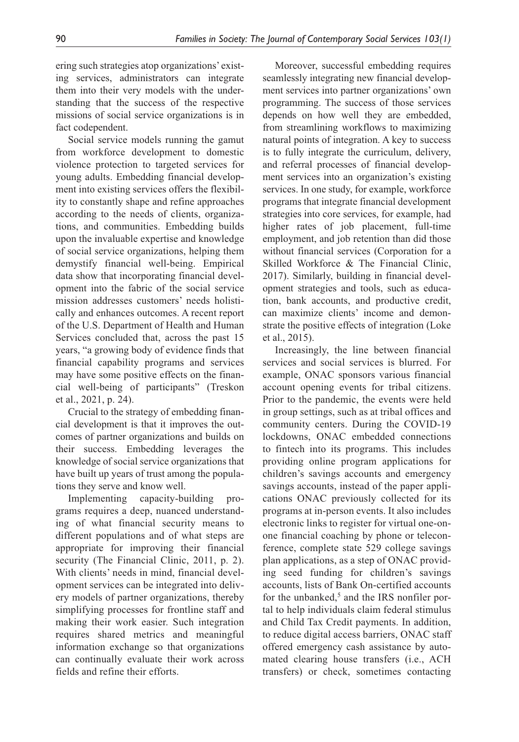ering such strategies atop organizations' existing services, administrators can integrate them into their very models with the understanding that the success of the respective missions of social service organizations is in fact codependent.

Social service models running the gamut from workforce development to domestic violence protection to targeted services for young adults. Embedding financial development into existing services offers the flexibility to constantly shape and refine approaches according to the needs of clients, organizations, and communities. Embedding builds upon the invaluable expertise and knowledge of social service organizations, helping them demystify financial well-being. Empirical data show that incorporating financial development into the fabric of the social service mission addresses customers' needs holistically and enhances outcomes. A recent report of the U.S. Department of Health and Human Services concluded that, across the past 15 years, "a growing body of evidence finds that financial capability programs and services may have some positive effects on the financial well-being of participants" (Treskon et al., 2021, p. 24).

Crucial to the strategy of embedding financial development is that it improves the outcomes of partner organizations and builds on their success. Embedding leverages the knowledge of social service organizations that have built up years of trust among the populations they serve and know well.

Implementing capacity-building programs requires a deep, nuanced understanding of what financial security means to different populations and of what steps are appropriate for improving their financial security (The Financial Clinic, 2011, p. 2). With clients' needs in mind, financial development services can be integrated into delivery models of partner organizations, thereby simplifying processes for frontline staff and making their work easier. Such integration requires shared metrics and meaningful information exchange so that organizations can continually evaluate their work across fields and refine their efforts.

Moreover, successful embedding requires seamlessly integrating new financial development services into partner organizations' own programming. The success of those services depends on how well they are embedded, from streamlining workflows to maximizing natural points of integration. A key to success is to fully integrate the curriculum, delivery, and referral processes of financial development services into an organization's existing services. In one study, for example, workforce programs that integrate financial development strategies into core services, for example, had higher rates of job placement, full-time employment, and job retention than did those without financial services (Corporation for a Skilled Workforce & The Financial Clinic, 2017). Similarly, building in financial development strategies and tools, such as education, bank accounts, and productive credit, can maximize clients' income and demonstrate the positive effects of integration (Loke et al., 2015).

Increasingly, the line between financial services and social services is blurred. For example, ONAC sponsors various financial account opening events for tribal citizens. Prior to the pandemic, the events were held in group settings, such as at tribal offices and community centers. During the COVID-19 lockdowns, ONAC embedded connections to fintech into its programs. This includes providing online program applications for children's savings accounts and emergency savings accounts, instead of the paper applications ONAC previously collected for its programs at in-person events. It also includes electronic links to register for virtual one-onone financial coaching by phone or teleconference, complete state 529 college savings plan applications, as a step of ONAC providing seed funding for children's savings accounts, lists of Bank On-certified accounts for the unbanked,<sup>5</sup> and the IRS nonfiler portal to help individuals claim federal stimulus and Child Tax Credit payments. In addition, to reduce digital access barriers, ONAC staff offered emergency cash assistance by automated clearing house transfers (i.e., ACH transfers) or check, sometimes contacting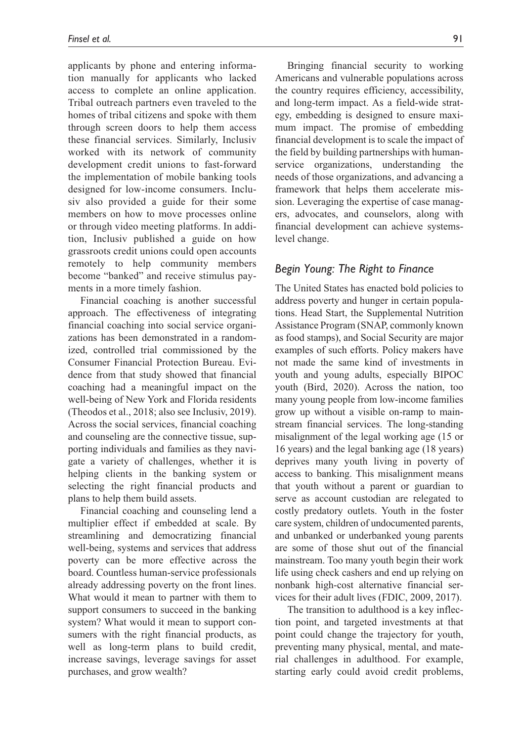applicants by phone and entering information manually for applicants who lacked access to complete an online application. Tribal outreach partners even traveled to the homes of tribal citizens and spoke with them through screen doors to help them access these financial services. Similarly, Inclusiv worked with its network of community development credit unions to fast-forward the implementation of mobile banking tools designed for low-income consumers. Inclusiv also provided a guide for their some members on how to move processes online or through video meeting platforms. In addition, Inclusiv published a guide on how grassroots credit unions could open accounts remotely to help community members become "banked" and receive stimulus payments in a more timely fashion.

Financial coaching is another successful approach. The effectiveness of integrating financial coaching into social service organizations has been demonstrated in a randomized, controlled trial commissioned by the Consumer Financial Protection Bureau. Evidence from that study showed that financial coaching had a meaningful impact on the well-being of New York and Florida residents (Theodos et al., 2018; also see Inclusiv, 2019). Across the social services, financial coaching and counseling are the connective tissue, supporting individuals and families as they navigate a variety of challenges, whether it is helping clients in the banking system or selecting the right financial products and plans to help them build assets.

Financial coaching and counseling lend a multiplier effect if embedded at scale. By streamlining and democratizing financial well-being, systems and services that address poverty can be more effective across the board. Countless human-service professionals already addressing poverty on the front lines. What would it mean to partner with them to support consumers to succeed in the banking system? What would it mean to support consumers with the right financial products, as well as long-term plans to build credit, increase savings, leverage savings for asset purchases, and grow wealth?

Bringing financial security to working Americans and vulnerable populations across the country requires efficiency, accessibility, and long-term impact. As a field-wide strategy, embedding is designed to ensure maximum impact. The promise of embedding financial development is to scale the impact of the field by building partnerships with humanservice organizations, understanding the needs of those organizations, and advancing a framework that helps them accelerate mission. Leveraging the expertise of case managers, advocates, and counselors, along with financial development can achieve systemslevel change.

#### *Begin Young: The Right to Finance*

The United States has enacted bold policies to address poverty and hunger in certain populations. Head Start, the Supplemental Nutrition Assistance Program (SNAP, commonly known as food stamps), and Social Security are major examples of such efforts. Policy makers have not made the same kind of investments in youth and young adults, especially BIPOC youth (Bird, 2020). Across the nation, too many young people from low-income families grow up without a visible on-ramp to mainstream financial services. The long-standing misalignment of the legal working age (15 or 16 years) and the legal banking age (18 years) deprives many youth living in poverty of access to banking. This misalignment means that youth without a parent or guardian to serve as account custodian are relegated to costly predatory outlets. Youth in the foster care system, children of undocumented parents, and unbanked or underbanked young parents are some of those shut out of the financial mainstream. Too many youth begin their work life using check cashers and end up relying on nonbank high-cost alternative financial services for their adult lives (FDIC, 2009, 2017).

The transition to adulthood is a key inflection point, and targeted investments at that point could change the trajectory for youth, preventing many physical, mental, and material challenges in adulthood. For example, starting early could avoid credit problems,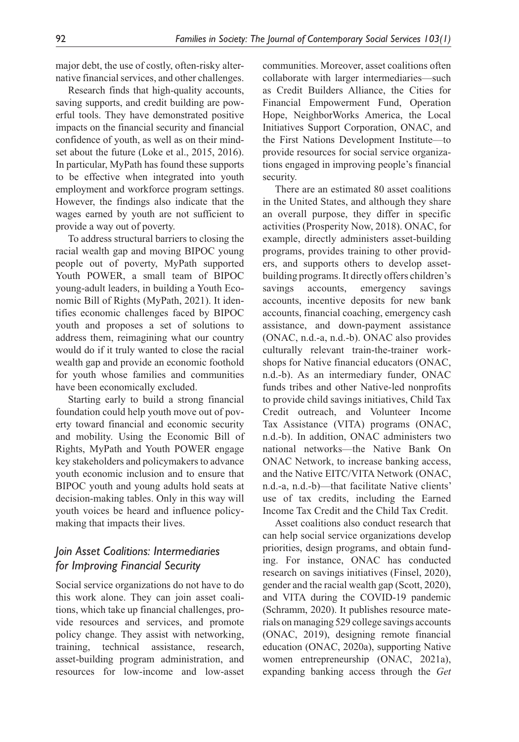major debt, the use of costly, often-risky alternative financial services, and other challenges.

Research finds that high-quality accounts, saving supports, and credit building are powerful tools. They have demonstrated positive impacts on the financial security and financial confidence of youth, as well as on their mindset about the future (Loke et al., 2015, 2016). In particular, MyPath has found these supports to be effective when integrated into youth employment and workforce program settings. However, the findings also indicate that the wages earned by youth are not sufficient to provide a way out of poverty.

To address structural barriers to closing the racial wealth gap and moving BIPOC young people out of poverty, MyPath supported Youth POWER, a small team of BIPOC young-adult leaders, in building a Youth Economic Bill of Rights (MyPath, 2021). It identifies economic challenges faced by BIPOC youth and proposes a set of solutions to address them, reimagining what our country would do if it truly wanted to close the racial wealth gap and provide an economic foothold for youth whose families and communities have been economically excluded.

Starting early to build a strong financial foundation could help youth move out of poverty toward financial and economic security and mobility. Using the Economic Bill of Rights, MyPath and Youth POWER engage key stakeholders and policymakers to advance youth economic inclusion and to ensure that BIPOC youth and young adults hold seats at decision-making tables. Only in this way will youth voices be heard and influence policymaking that impacts their lives.

# *Join Asset Coalitions: Intermediaries for Improving Financial Security*

Social service organizations do not have to do this work alone. They can join asset coalitions, which take up financial challenges, provide resources and services, and promote policy change. They assist with networking, training, technical assistance, research, asset-building program administration, and resources for low-income and low-asset communities. Moreover, asset coalitions often collaborate with larger intermediaries—such as Credit Builders Alliance, the Cities for Financial Empowerment Fund, Operation Hope, NeighborWorks America, the Local Initiatives Support Corporation, ONAC, and the First Nations Development Institute—to provide resources for social service organizations engaged in improving people's financial security.

There are an estimated 80 asset coalitions in the United States, and although they share an overall purpose, they differ in specific activities (Prosperity Now, 2018). ONAC, for example, directly administers asset-building programs, provides training to other providers, and supports others to develop assetbuilding programs. It directly offers children's savings accounts, emergency savings accounts, incentive deposits for new bank accounts, financial coaching, emergency cash assistance, and down-payment assistance (ONAC, n.d.-a, n.d.-b). ONAC also provides culturally relevant train-the-trainer workshops for Native financial educators (ONAC, n.d.-b). As an intermediary funder, ONAC funds tribes and other Native-led nonprofits to provide child savings initiatives, Child Tax Credit outreach, and Volunteer Income Tax Assistance (VITA) programs (ONAC, n.d.-b). In addition, ONAC administers two national networks—the Native Bank On ONAC Network, to increase banking access, and the Native EITC/VITA Network (ONAC, n.d.-a, n.d.-b)—that facilitate Native clients' use of tax credits, including the Earned Income Tax Credit and the Child Tax Credit.

Asset coalitions also conduct research that can help social service organizations develop priorities, design programs, and obtain funding. For instance, ONAC has conducted research on savings initiatives (Finsel, 2020), gender and the racial wealth gap (Scott, 2020), and VITA during the COVID-19 pandemic (Schramm, 2020). It publishes resource materials on managing 529 college savings accounts (ONAC, 2019), designing remote financial education (ONAC, 2020a), supporting Native women entrepreneurship (ONAC, 2021a), expanding banking access through the *Get*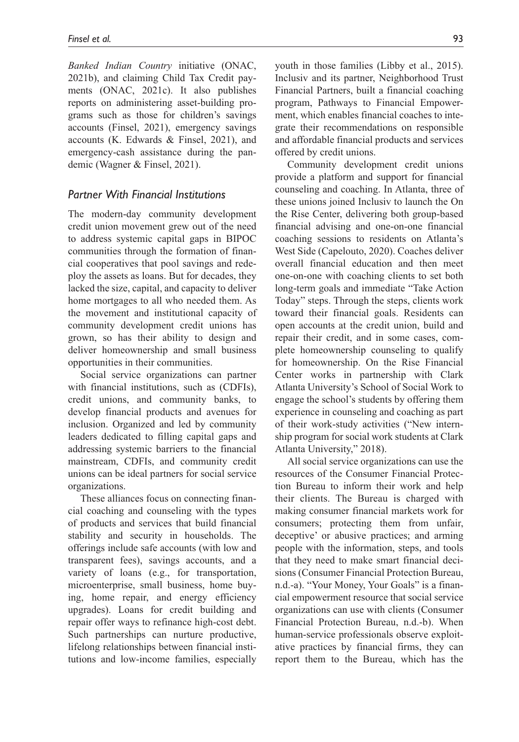*Banked Indian Country* initiative (ONAC, 2021b), and claiming Child Tax Credit payments (ONAC, 2021c). It also publishes reports on administering asset-building programs such as those for children's savings accounts (Finsel, 2021), emergency savings accounts (K. Edwards & Finsel, 2021), and emergency-cash assistance during the pandemic (Wagner & Finsel, 2021).

#### *Partner With Financial Institutions*

The modern-day community development credit union movement grew out of the need to address systemic capital gaps in BIPOC communities through the formation of financial cooperatives that pool savings and redeploy the assets as loans. But for decades, they lacked the size, capital, and capacity to deliver home mortgages to all who needed them. As the movement and institutional capacity of community development credit unions has grown, so has their ability to design and deliver homeownership and small business opportunities in their communities.

Social service organizations can partner with financial institutions, such as (CDFIs), credit unions, and community banks, to develop financial products and avenues for inclusion. Organized and led by community leaders dedicated to filling capital gaps and addressing systemic barriers to the financial mainstream, CDFIs, and community credit unions can be ideal partners for social service organizations.

These alliances focus on connecting financial coaching and counseling with the types of products and services that build financial stability and security in households. The offerings include safe accounts (with low and transparent fees), savings accounts, and a variety of loans (e.g., for transportation, microenterprise, small business, home buying, home repair, and energy efficiency upgrades). Loans for credit building and repair offer ways to refinance high-cost debt. Such partnerships can nurture productive, lifelong relationships between financial institutions and low-income families, especially youth in those families (Libby et al., 2015). Inclusiv and its partner, Neighborhood Trust Financial Partners, built a financial coaching program, Pathways to Financial Empowerment, which enables financial coaches to integrate their recommendations on responsible and affordable financial products and services offered by credit unions.

Community development credit unions provide a platform and support for financial counseling and coaching. In Atlanta, three of these unions joined Inclusiv to launch the On the Rise Center, delivering both group-based financial advising and one-on-one financial coaching sessions to residents on Atlanta's West Side (Capelouto, 2020). Coaches deliver overall financial education and then meet one-on-one with coaching clients to set both long-term goals and immediate "Take Action Today" steps. Through the steps, clients work toward their financial goals. Residents can open accounts at the credit union, build and repair their credit, and in some cases, complete homeownership counseling to qualify for homeownership. On the Rise Financial Center works in partnership with Clark Atlanta University's School of Social Work to engage the school's students by offering them experience in counseling and coaching as part of their work-study activities ("New internship program for social work students at Clark Atlanta University," 2018).

All social service organizations can use the resources of the Consumer Financial Protection Bureau to inform their work and help their clients. The Bureau is charged with making consumer financial markets work for consumers; protecting them from unfair, deceptive' or abusive practices; and arming people with the information, steps, and tools that they need to make smart financial decisions (Consumer Financial Protection Bureau, n.d.-a). "Your Money, Your Goals" is a financial empowerment resource that social service organizations can use with clients (Consumer Financial Protection Bureau, n.d.-b). When human-service professionals observe exploitative practices by financial firms, they can report them to the Bureau, which has the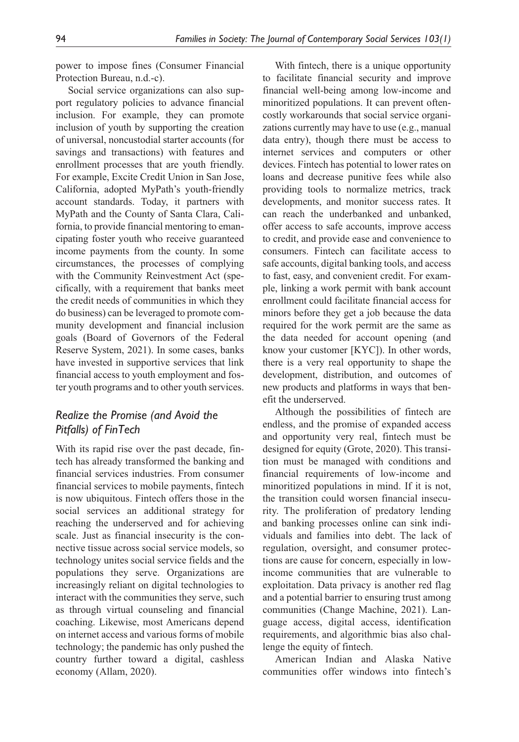power to impose fines (Consumer Financial Protection Bureau, n.d.-c).

Social service organizations can also support regulatory policies to advance financial inclusion. For example, they can promote inclusion of youth by supporting the creation of universal, noncustodial starter accounts (for savings and transactions) with features and enrollment processes that are youth friendly. For example, Excite Credit Union in San Jose, California, adopted MyPath's youth-friendly account standards. Today, it partners with MyPath and the County of Santa Clara, California, to provide financial mentoring to emancipating foster youth who receive guaranteed income payments from the county. In some circumstances, the processes of complying with the Community Reinvestment Act (specifically, with a requirement that banks meet the credit needs of communities in which they do business) can be leveraged to promote community development and financial inclusion goals (Board of Governors of the Federal Reserve System, 2021). In some cases, banks have invested in supportive services that link financial access to youth employment and foster youth programs and to other youth services.

### *Realize the Promise (and Avoid the Pitfalls) of FinTech*

With its rapid rise over the past decade, fintech has already transformed the banking and financial services industries. From consumer financial services to mobile payments, fintech is now ubiquitous. Fintech offers those in the social services an additional strategy for reaching the underserved and for achieving scale. Just as financial insecurity is the connective tissue across social service models, so technology unites social service fields and the populations they serve. Organizations are increasingly reliant on digital technologies to interact with the communities they serve, such as through virtual counseling and financial coaching. Likewise, most Americans depend on internet access and various forms of mobile technology; the pandemic has only pushed the country further toward a digital, cashless economy (Allam, 2020).

With fintech, there is a unique opportunity to facilitate financial security and improve financial well-being among low-income and minoritized populations. It can prevent oftencostly workarounds that social service organizations currently may have to use (e.g., manual data entry), though there must be access to internet services and computers or other devices. Fintech has potential to lower rates on loans and decrease punitive fees while also providing tools to normalize metrics, track developments, and monitor success rates. It can reach the underbanked and unbanked, offer access to safe accounts, improve access to credit, and provide ease and convenience to consumers. Fintech can facilitate access to safe accounts, digital banking tools, and access to fast, easy, and convenient credit. For example, linking a work permit with bank account enrollment could facilitate financial access for minors before they get a job because the data required for the work permit are the same as the data needed for account opening (and know your customer [KYC]). In other words, there is a very real opportunity to shape the development, distribution, and outcomes of new products and platforms in ways that benefit the underserved.

Although the possibilities of fintech are endless, and the promise of expanded access and opportunity very real, fintech must be designed for equity (Grote, 2020). This transition must be managed with conditions and financial requirements of low-income and minoritized populations in mind. If it is not, the transition could worsen financial insecurity. The proliferation of predatory lending and banking processes online can sink individuals and families into debt. The lack of regulation, oversight, and consumer protections are cause for concern, especially in lowincome communities that are vulnerable to exploitation. Data privacy is another red flag and a potential barrier to ensuring trust among communities (Change Machine, 2021). Language access, digital access, identification requirements, and algorithmic bias also challenge the equity of fintech.

American Indian and Alaska Native communities offer windows into fintech's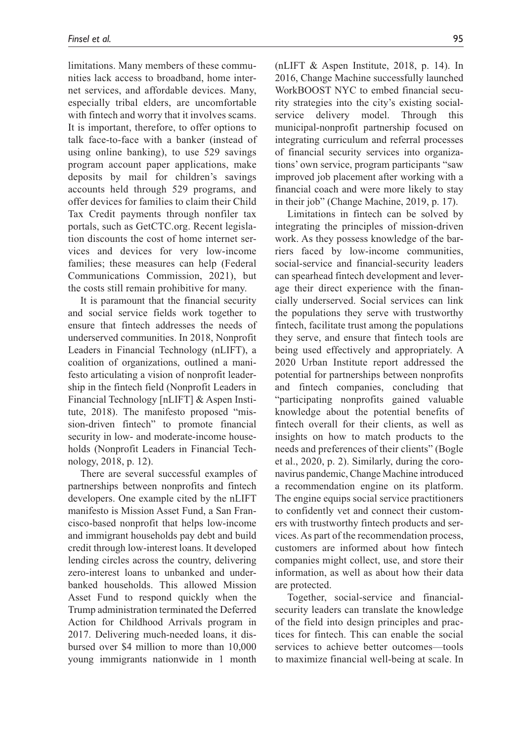limitations. Many members of these communities lack access to broadband, home internet services, and affordable devices. Many, especially tribal elders, are uncomfortable with fintech and worry that it involves scams. It is important, therefore, to offer options to talk face-to-face with a banker (instead of using online banking), to use 529 savings program account paper applications, make deposits by mail for children's savings accounts held through 529 programs, and offer devices for families to claim their Child Tax Credit payments through nonfiler tax portals, such as GetCTC.org. Recent legislation discounts the cost of home internet services and devices for very low-income families; these measures can help (Federal Communications Commission, 2021), but the costs still remain prohibitive for many.

It is paramount that the financial security and social service fields work together to ensure that fintech addresses the needs of underserved communities. In 2018, Nonprofit Leaders in Financial Technology (nLIFT), a coalition of organizations, outlined a manifesto articulating a vision of nonprofit leadership in the fintech field (Nonprofit Leaders in Financial Technology [nLIFT] & Aspen Institute, 2018). The manifesto proposed "mission-driven fintech" to promote financial security in low- and moderate-income households (Nonprofit Leaders in Financial Technology, 2018, p. 12).

There are several successful examples of partnerships between nonprofits and fintech developers. One example cited by the nLIFT manifesto is Mission Asset Fund, a San Francisco-based nonprofit that helps low-income and immigrant households pay debt and build credit through low-interest loans. It developed lending circles across the country, delivering zero-interest loans to unbanked and underbanked households. This allowed Mission Asset Fund to respond quickly when the Trump administration terminated the Deferred Action for Childhood Arrivals program in 2017. Delivering much-needed loans, it disbursed over \$4 million to more than 10,000 young immigrants nationwide in 1 month

(nLIFT & Aspen Institute, 2018, p. 14). In 2016, Change Machine successfully launched WorkBOOST NYC to embed financial security strategies into the city's existing socialservice delivery model. Through this municipal-nonprofit partnership focused on integrating curriculum and referral processes of financial security services into organizations' own service, program participants "saw improved job placement after working with a financial coach and were more likely to stay in their job" (Change Machine, 2019, p. 17).

Limitations in fintech can be solved by integrating the principles of mission-driven work. As they possess knowledge of the barriers faced by low-income communities, social-service and financial-security leaders can spearhead fintech development and leverage their direct experience with the financially underserved. Social services can link the populations they serve with trustworthy fintech, facilitate trust among the populations they serve, and ensure that fintech tools are being used effectively and appropriately. A 2020 Urban Institute report addressed the potential for partnerships between nonprofits and fintech companies, concluding that "participating nonprofits gained valuable knowledge about the potential benefits of fintech overall for their clients, as well as insights on how to match products to the needs and preferences of their clients" (Bogle et al., 2020, p. 2). Similarly, during the coronavirus pandemic, Change Machine introduced a recommendation engine on its platform. The engine equips social service practitioners to confidently vet and connect their customers with trustworthy fintech products and services. As part of the recommendation process, customers are informed about how fintech companies might collect, use, and store their information, as well as about how their data are protected.

Together, social-service and financialsecurity leaders can translate the knowledge of the field into design principles and practices for fintech. This can enable the social services to achieve better outcomes—tools to maximize financial well-being at scale. In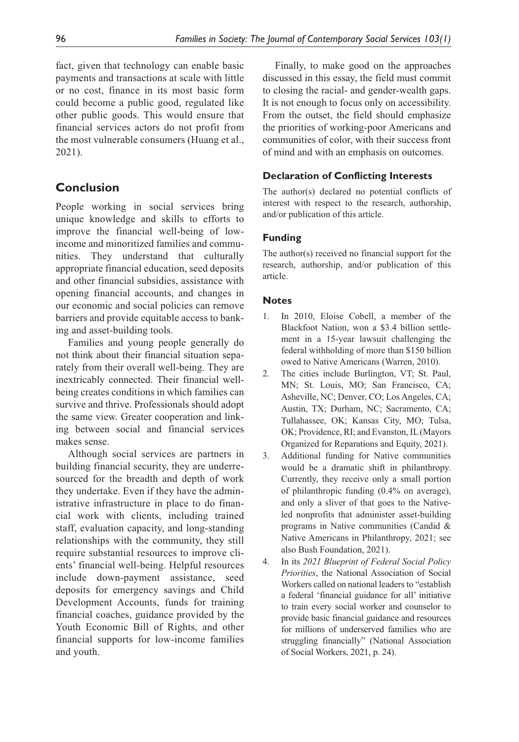fact, given that technology can enable basic payments and transactions at scale with little or no cost, finance in its most basic form could become a public good, regulated like other public goods. This would ensure that financial services actors do not profit from the most vulnerable consumers (Huang et al., 2021).

# **Conclusion**

People working in social services bring unique knowledge and skills to efforts to improve the financial well-being of lowincome and minoritized families and communities. They understand that culturally appropriate financial education, seed deposits and other financial subsidies, assistance with opening financial accounts, and changes in our economic and social policies can remove barriers and provide equitable access to banking and asset-building tools.

Families and young people generally do not think about their financial situation separately from their overall well-being. They are inextricably connected. Their financial wellbeing creates conditions in which families can survive and thrive. Professionals should adopt the same view. Greater cooperation and linking between social and financial services makes sense.

Although social services are partners in building financial security, they are underresourced for the breadth and depth of work they undertake. Even if they have the administrative infrastructure in place to do financial work with clients, including trained staff, evaluation capacity, and long-standing relationships with the community, they still require substantial resources to improve clients' financial well-being. Helpful resources include down-payment assistance, seed deposits for emergency savings and Child Development Accounts, funds for training financial coaches, guidance provided by the Youth Economic Bill of Rights, and other financial supports for low-income families and youth.

Finally, to make good on the approaches discussed in this essay, the field must commit to closing the racial- and gender-wealth gaps. It is not enough to focus only on accessibility. From the outset, the field should emphasize the priorities of working-poor Americans and communities of color, with their success front of mind and with an emphasis on outcomes.

### **Declaration of Conflicting Interests**

The author(s) declared no potential conflicts of interest with respect to the research, authorship, and/or publication of this article.

### **Funding**

The author(s) received no financial support for the research, authorship, and/or publication of this article.

### **Notes**

- 1. In 2010, Eloise Cobell, a member of the Blackfoot Nation, won a \$3.4 billion settlement in a 15-year lawsuit challenging the federal withholding of more than \$150 billion owed to Native Americans (Warren, 2010).
- 2. The cities include Burlington, VT; St. Paul, MN; St. Louis, MO; San Francisco, CA; Asheville, NC; Denver, CO; Los Angeles, CA; Austin, TX; Durham, NC; Sacramento, CA; Tullahassee, OK; Kansas City, MO; Tulsa, OK; Providence, RI; and Evanston, IL (Mayors Organized for Reparations and Equity, 2021).
- 3. Additional funding for Native communities would be a dramatic shift in philanthropy. Currently, they receive only a small portion of philanthropic funding (0.4% on average), and only a sliver of that goes to the Nativeled nonprofits that administer asset-building programs in Native communities (Candid & Native Americans in Philanthropy, 2021; see also Bush Foundation, 2021).
- 4. In its *2021 Blueprint of Federal Social Policy Priorities*, the National Association of Social Workers called on national leaders to "establish a federal 'financial guidance for all' initiative to train every social worker and counselor to provide basic financial guidance and resources for millions of underserved families who are struggling financially" (National Association of Social Workers, 2021, p. 24).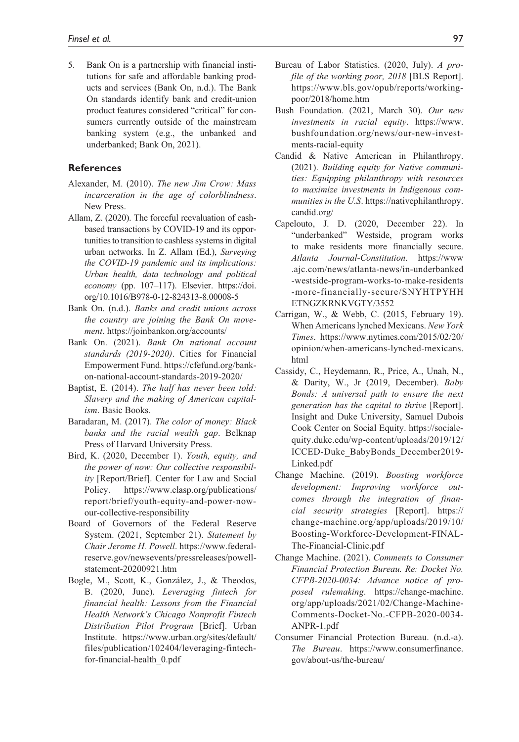5. Bank On is a partnership with financial institutions for safe and affordable banking products and services (Bank On, n.d.). The Bank On standards identify bank and credit-union product features considered "critical" for consumers currently outside of the mainstream banking system (e.g., the unbanked and underbanked; Bank On, 2021).

#### **References**

- Alexander, M. (2010). *The new Jim Crow: Mass incarceration in the age of colorblindness*. New Press.
- Allam, Z. (2020). The forceful reevaluation of cashbased transactions by COVID-19 and its opportunities to transition to cashless systems in digital urban networks. In Z. Allam (Ed.), *Surveying the COVID-19 pandemic and its implications: Urban health, data technology and political economy* (pp. 107–117). Elsevier. [https://doi.](https://doi.org/10.1016/B978-0-12-824313-8.00008-5) [org/10.1016/B978-0-12-824313-8.00008-5](https://doi.org/10.1016/B978-0-12-824313-8.00008-5)
- Bank On. (n.d.). *Banks and credit unions across the country are joining the Bank On movement*. <https://joinbankon.org/accounts/>
- Bank On. (2021). *Bank On national account standards (2019-2020)*. Cities for Financial Empowerment Fund. [https://cfefund.org/bank](https://cfefund.org/bank-on-national-account-standards-2019-2020/)[on-national-account-standards-2019-2020/](https://cfefund.org/bank-on-national-account-standards-2019-2020/)
- Baptist, E. (2014). *The half has never been told: Slavery and the making of American capitalism*. Basic Books.
- Baradaran, M. (2017). *The color of money: Black banks and the racial wealth gap*. Belknap Press of Harvard University Press.
- Bird, K. (2020, December 1). *Youth, equity, and the power of now: Our collective responsibility* [Report/Brief]. Center for Law and Social Policy. [https://www.clasp.org/publications/](https://www.clasp.org/publications/report/brief/youth-equity-and-power-now-our-collective-responsibility) [report/brief/youth-equity-and-power-now](https://www.clasp.org/publications/report/brief/youth-equity-and-power-now-our-collective-responsibility)[our-collective-responsibility](https://www.clasp.org/publications/report/brief/youth-equity-and-power-now-our-collective-responsibility)
- Board of Governors of the Federal Reserve System. (2021, September 21). *Statement by Chair Jerome H. Powell*. [https://www.federal](https://www.federalreserve.gov/newsevents/pressreleases/powell-statement-20200921.htm)[reserve.gov/newsevents/pressreleases/powell](https://www.federalreserve.gov/newsevents/pressreleases/powell-statement-20200921.htm)[statement-20200921.htm](https://www.federalreserve.gov/newsevents/pressreleases/powell-statement-20200921.htm)
- Bogle, M., Scott, K., González, J., & Theodos, B. (2020, June). *Leveraging fintech for financial health: Lessons from the Financial Health Network's Chicago Nonprofit Fintech Distribution Pilot Program* [Brief]. Urban Institute. [https://www.urban.org/sites/default/](https://www.urban.org/sites/default/files/publication/102404/leveraging-fintech-for-financial-health_0.pdf) [files/publication/102404/leveraging-fintech](https://www.urban.org/sites/default/files/publication/102404/leveraging-fintech-for-financial-health_0.pdf)[for-financial-health\\_0.pdf](https://www.urban.org/sites/default/files/publication/102404/leveraging-fintech-for-financial-health_0.pdf)
- Bureau of Labor Statistics. (2020, July). *A profile of the working poor, 2018* [BLS Report]. [https://www.bls.gov/opub/reports/working](https://www.bls.gov/opub/reports/working-poor/2018/home.htm)[poor/2018/home.htm](https://www.bls.gov/opub/reports/working-poor/2018/home.htm)
- Bush Foundation. (2021, March 30). *Our new investments in racial equity*. [https://www.](https://www.bushfoundation.org/news/our-new-investments-racial-equity) [bushfoundation.org/news/our-new-invest](https://www.bushfoundation.org/news/our-new-investments-racial-equity)[ments-racial-equity](https://www.bushfoundation.org/news/our-new-investments-racial-equity)
- Candid & Native American in Philanthropy. (2021). *Building equity for Native communities: Equipping philanthropy with resources to maximize investments in Indigenous communities in the U.S*. [https://nativephilanthropy.](https://nativephilanthropy.candid.org/) [candid.org/](https://nativephilanthropy.candid.org/)
- Capelouto, J. D. (2020, December 22). In "underbanked" Westside, program works to make residents more financially secure. *Atlanta Journal-Constitution*. [https://www](https://www.ajc.com/news/atlanta-news/in-underbanked-westside-program-works-to-make-residents-more-financially-secure/SNYHTPYHHETNGZKRNKVGTY/3552) [.ajc.com/news/atlanta-news/in-underbanked](https://www.ajc.com/news/atlanta-news/in-underbanked-westside-program-works-to-make-residents-more-financially-secure/SNYHTPYHHETNGZKRNKVGTY/3552) [-westside-program-works-to-make-residents](https://www.ajc.com/news/atlanta-news/in-underbanked-westside-program-works-to-make-residents-more-financially-secure/SNYHTPYHHETNGZKRNKVGTY/3552) [-more-financially-secure/SNYHTPYHH](https://www.ajc.com/news/atlanta-news/in-underbanked-westside-program-works-to-make-residents-more-financially-secure/SNYHTPYHHETNGZKRNKVGTY/3552) [ETNGZKRNKVGTY/3552](https://www.ajc.com/news/atlanta-news/in-underbanked-westside-program-works-to-make-residents-more-financially-secure/SNYHTPYHHETNGZKRNKVGTY/3552)
- Carrigan, W., & Webb, C. (2015, February 19). When Americans lynched Mexicans. *New York Times*. [https://www.nytimes.com/2015/02/20/](https://www.nytimes.com/2015/02/20/opinion/when-americans-lynched-mexicans.html) [opinion/when-americans-lynched-mexicans.](https://www.nytimes.com/2015/02/20/opinion/when-americans-lynched-mexicans.html) [html](https://www.nytimes.com/2015/02/20/opinion/when-americans-lynched-mexicans.html)
- Cassidy, C., Heydemann, R., Price, A., Unah, N., & Darity, W., Jr (2019, December). *Baby Bonds: A universal path to ensure the next generation has the capital to thrive* [Report]. Insight and Duke University, Samuel Dubois Cook Center on Social Equity. [https://sociale](https://socialequity.duke.edu/wp-content/uploads/2019/12/ICCED-Duke_BabyBonds_December2019-Linked.pdf)[quity.duke.edu/wp-content/uploads/2019/12/](https://socialequity.duke.edu/wp-content/uploads/2019/12/ICCED-Duke_BabyBonds_December2019-Linked.pdf) [ICCED-Duke\\_BabyBonds\\_December2019-](https://socialequity.duke.edu/wp-content/uploads/2019/12/ICCED-Duke_BabyBonds_December2019-Linked.pdf) [Linked.pdf](https://socialequity.duke.edu/wp-content/uploads/2019/12/ICCED-Duke_BabyBonds_December2019-Linked.pdf)
- Change Machine. (2019). *Boosting workforce development: Improving workforce outcomes through the integration of financial security strategies* [Report]. [https://](https://change-machine.org/app/uploads/2019/10/Boosting-Workforce-Development-FINAL-The-Financial-Clinic.pdf) [change-machine.org/app/uploads/2019/10/](https://change-machine.org/app/uploads/2019/10/Boosting-Workforce-Development-FINAL-The-Financial-Clinic.pdf) [Boosting-Workforce-Development-FINAL-](https://change-machine.org/app/uploads/2019/10/Boosting-Workforce-Development-FINAL-The-Financial-Clinic.pdf)[The-Financial-Clinic.pdf](https://change-machine.org/app/uploads/2019/10/Boosting-Workforce-Development-FINAL-The-Financial-Clinic.pdf)
- Change Machine. (2021). *Comments to Consumer Financial Protection Bureau. Re: Docket No. CFPB-2020-0034: Advance notice of proposed rulemaking*. [https://change-machine.](https://change-machine.org/app/uploads/2021/02/Change-Machine-Comments-Docket-No.-CFPB-2020-0034-ANPR-1.pdf) [org/app/uploads/2021/02/Change-Machine-](https://change-machine.org/app/uploads/2021/02/Change-Machine-Comments-Docket-No.-CFPB-2020-0034-ANPR-1.pdf)[Comments-Docket-No.-CFPB-2020-0034-](https://change-machine.org/app/uploads/2021/02/Change-Machine-Comments-Docket-No.-CFPB-2020-0034-ANPR-1.pdf) [ANPR-1.pdf](https://change-machine.org/app/uploads/2021/02/Change-Machine-Comments-Docket-No.-CFPB-2020-0034-ANPR-1.pdf)
- Consumer Financial Protection Bureau. (n.d.-a). *The Bureau*. [https://www.consumerfinance.](https://www.consumerfinance.gov/about-us/the-bureau/) [gov/about-us/the-bureau/](https://www.consumerfinance.gov/about-us/the-bureau/)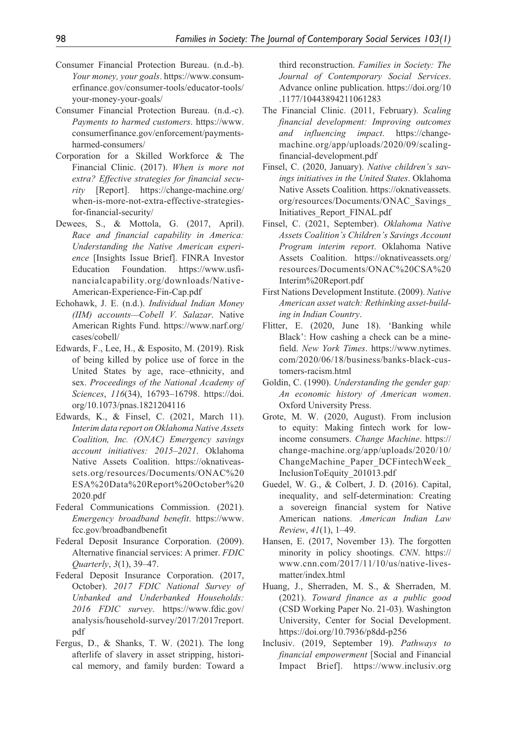- Consumer Financial Protection Bureau. (n.d.-b). *Your money, your goals*. [https://www.consum](https://www.consumerfinance.gov/consumer-tools/educator-tools/your-money-your-goals/)[erfinance.gov/consumer-tools/educator-tools/](https://www.consumerfinance.gov/consumer-tools/educator-tools/your-money-your-goals/) [your-money-your-goals/](https://www.consumerfinance.gov/consumer-tools/educator-tools/your-money-your-goals/)
- Consumer Financial Protection Bureau. (n.d.-c). *Payments to harmed customers*. [https://www.](https://www.consumerfinance.gov/enforcement/payments-harmed-consumers/) [consumerfinance.gov/enforcement/payments](https://www.consumerfinance.gov/enforcement/payments-harmed-consumers/)[harmed-consumers/](https://www.consumerfinance.gov/enforcement/payments-harmed-consumers/)
- Corporation for a Skilled Workforce & The Financial Clinic. (2017). *When is more not extra? Effective strategies for financial security* [Report]. [https://change-machine.org/](https://change-machine.org/when-is-more-not-extra-effective-strategies-for-financial-security/) [when-is-more-not-extra-effective-strategies](https://change-machine.org/when-is-more-not-extra-effective-strategies-for-financial-security/)[for-financial-security/](https://change-machine.org/when-is-more-not-extra-effective-strategies-for-financial-security/)
- Dewees, S., & Mottola, G. (2017, April). *Race and financial capability in America: Understanding the Native American experience* [Insights Issue Brief]. FINRA Investor Education Foundation. [https://www.usfi](https://www.usfinancialcapability.org/downloads/Native-American-Experience-Fin-Cap.pdf)[nancialcapability.org/downloads/Native-](https://www.usfinancialcapability.org/downloads/Native-American-Experience-Fin-Cap.pdf)[American-Experience-Fin-Cap.pdf](https://www.usfinancialcapability.org/downloads/Native-American-Experience-Fin-Cap.pdf)
- Echohawk, J. E. (n.d.). *Individual Indian Money (IIM) accounts—Cobell V. Salazar*. Native American Rights Fund. [https://www.narf.org/](https://www.narf.org/cases/cobell/) [cases/cobell/](https://www.narf.org/cases/cobell/)
- Edwards, F., Lee, H., & Esposito, M. (2019). Risk of being killed by police use of force in the United States by age, race–ethnicity, and sex. *Proceedings of the National Academy of Sciences*, *116*(34), 16793–16798. [https://doi.](https://doi.org/10.1073/pnas.1821204116) [org/10.1073/pnas.1821204116](https://doi.org/10.1073/pnas.1821204116)
- Edwards, K., & Finsel, C. (2021, March 11). *Interim data report on Oklahoma Native Assets Coalition, Inc. (ONAC) Emergency savings account initiatives: 2015–2021*. Oklahoma Native Assets Coalition. [https://oknativeas](https://oknativeassets.org/resources/Documents/ONAC%20ESA%20Data%20Report%20October%202020.pdf)[sets.org/resources/Documents/ONAC%20](https://oknativeassets.org/resources/Documents/ONAC%20ESA%20Data%20Report%20October%202020.pdf) [ESA%20Data%20Report%20October%20](https://oknativeassets.org/resources/Documents/ONAC%20ESA%20Data%20Report%20October%202020.pdf) [2020.pdf](https://oknativeassets.org/resources/Documents/ONAC%20ESA%20Data%20Report%20October%202020.pdf)
- Federal Communications Commission. (2021). *Emergency broadband benefit*. [https://www.](https://www.fcc.gov/broadbandbenefit) [fcc.gov/broadbandbenefit](https://www.fcc.gov/broadbandbenefit)
- Federal Deposit Insurance Corporation. (2009). Alternative financial services: A primer. *FDIC Quarterly*, *3*(1), 39–47.
- Federal Deposit Insurance Corporation. (2017, October). *2017 FDIC National Survey of Unbanked and Underbanked Households: 2016 FDIC survey*. [https://www.fdic.gov/](https://www.fdic.gov/analysis/household-survey/2017/2017report.pdf) [analysis/household-survey/2017/2017report.](https://www.fdic.gov/analysis/household-survey/2017/2017report.pdf) [pdf](https://www.fdic.gov/analysis/household-survey/2017/2017report.pdf)
- Fergus, D., & Shanks, T. W. (2021). The long afterlife of slavery in asset stripping, historical memory, and family burden: Toward a

third reconstruction. *Families in Society: The Journal of Contemporary Social Services*. Advance online publication. [https://doi.org/10](https://doi.org/10.1177/10443894211061283) [.1177/10443894211061283](https://doi.org/10.1177/10443894211061283)

- The Financial Clinic. (2011, February). *Scaling financial development: Improving outcomes and influencing impact*. [https://change](https://change-machine.org/app/uploads/2020/09/scaling-financial-development.pdf)[machine.org/app/uploads/2020/09/scaling](https://change-machine.org/app/uploads/2020/09/scaling-financial-development.pdf)[financial-development.pdf](https://change-machine.org/app/uploads/2020/09/scaling-financial-development.pdf)
- Finsel, C. (2020, January). *Native children's savings initiatives in the United States*. Oklahoma Native Assets Coalition. [https://oknativeassets.](https://oknativeassets.org/resources/Documents/ONAC_Savings_Initiatives_Report_FINAL.pdf) [org/resources/Documents/ONAC\\_Savings\\_](https://oknativeassets.org/resources/Documents/ONAC_Savings_Initiatives_Report_FINAL.pdf) [Initiatives\\_Report\\_FINAL.pdf](https://oknativeassets.org/resources/Documents/ONAC_Savings_Initiatives_Report_FINAL.pdf)
- Finsel, C. (2021, September). *Oklahoma Native Assets Coalition's Children's Savings Account Program interim report*. Oklahoma Native Assets Coalition. [https://oknativeassets.org/](https://oknativeassets.org/resources/Documents/ONAC%20CSA%20Interim%20Report.pdf) [resources/Documents/ONAC%20CSA%20](https://oknativeassets.org/resources/Documents/ONAC%20CSA%20Interim%20Report.pdf) [Interim%20Report.pdf](https://oknativeassets.org/resources/Documents/ONAC%20CSA%20Interim%20Report.pdf)
- First Nations Development Institute. (2009). *Native American asset watch: Rethinking asset-building in Indian Country*.
- Flitter, E. (2020, June 18). 'Banking while Black': How cashing a check can be a minefield. *New York Times*. [https://www.nytimes.](https://www.nytimes.com/2020/06/18/business/banks-black-customers-racism.html) [com/2020/06/18/business/banks-black-cus](https://www.nytimes.com/2020/06/18/business/banks-black-customers-racism.html)[tomers-racism.html](https://www.nytimes.com/2020/06/18/business/banks-black-customers-racism.html)
- Goldin, C. (1990). *Understanding the gender gap: An economic history of American women*. Oxford University Press.
- Grote, M. W. (2020, August). From inclusion to equity: Making fintech work for lowincome consumers. *Change Machine*. [https://](https://change-machine.org/app/uploads/2020/10/ChangeMachine_Paper_DCFintechWeek_InclusionToEquity_201013.pdf) [change-machine.org/app/uploads/2020/10/](https://change-machine.org/app/uploads/2020/10/ChangeMachine_Paper_DCFintechWeek_InclusionToEquity_201013.pdf) [ChangeMachine\\_Paper\\_DCFintechWeek\\_](https://change-machine.org/app/uploads/2020/10/ChangeMachine_Paper_DCFintechWeek_InclusionToEquity_201013.pdf) [InclusionToEquity\\_201013.pdf](https://change-machine.org/app/uploads/2020/10/ChangeMachine_Paper_DCFintechWeek_InclusionToEquity_201013.pdf)
- Guedel, W. G., & Colbert, J. D. (2016). Capital, inequality, and self-determination: Creating a sovereign financial system for Native American nations. *American Indian Law Review*, *41*(1), 1–49.
- Hansen, E. (2017, November 13). The forgotten minority in policy shootings. *CNN*. [https://](https://www.cnn.com/2017/11/10/us/native-lives-matter/index.html) [www.cnn.com/2017/11/10/us/native-lives](https://www.cnn.com/2017/11/10/us/native-lives-matter/index.html)[matter/index.html](https://www.cnn.com/2017/11/10/us/native-lives-matter/index.html)
- Huang, J., Sherraden, M. S., & Sherraden, M. (2021). *Toward finance as a public good* (CSD Working Paper No. 21-03). Washington University, Center for Social Development. <https://doi.org/10.7936/p8dd-p256>
- Inclusiv. (2019, September 19). *Pathways to financial empowerment* [Social and Financial Impact Brief]. [https://www.inclusiv.org](https://www.inclusiv.org/wp-content/uploads/2019/11/Pathways-Impact-Brief-2019.pdf)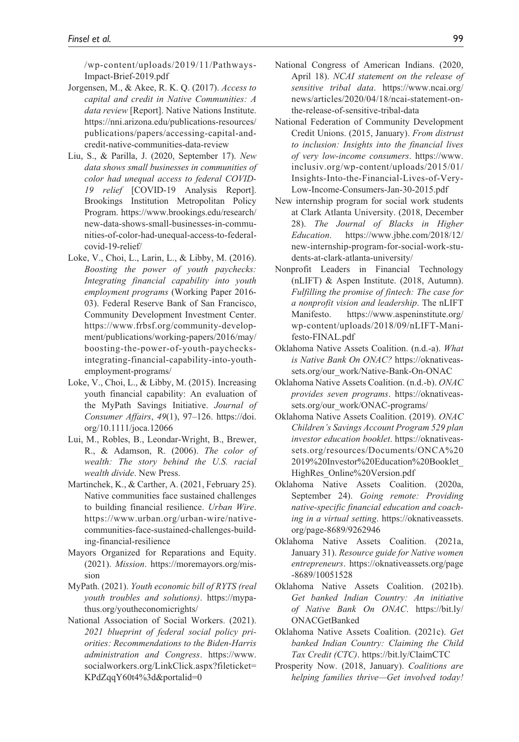[/wp-content/uploads/2019/11/Pathways-](https://www.inclusiv.org/wp-content/uploads/2019/11/Pathways-Impact-Brief-2019.pdf)[Impact-Brief-2019.pdf](https://www.inclusiv.org/wp-content/uploads/2019/11/Pathways-Impact-Brief-2019.pdf)

- Jorgensen, M., & Akee, R. K. Q. (2017). *Access to capital and credit in Native Communities: A data review* [Report]. Native Nations Institute. [https://nni.arizona.edu/publications-resources/](https://nni.arizona.edu/publications-resources/publications/papers/accessing-capital-and-credit-native-communities-data-review) [publications/papers/accessing-capital-and](https://nni.arizona.edu/publications-resources/publications/papers/accessing-capital-and-credit-native-communities-data-review)[credit-native-communities-data-review](https://nni.arizona.edu/publications-resources/publications/papers/accessing-capital-and-credit-native-communities-data-review)
- Liu, S., & Parilla, J. (2020, September 17). *New data shows small businesses in communities of color had unequal access to federal COVID-19 relief* [COVID-19 Analysis Report]. Brookings Institution Metropolitan Policy Program. [https://www.brookings.edu/research/](https://www.brookings.edu/research/new-data-shows-small-businesses-in-communities-of-color-had-unequal-access-to-federal-covid-19-relief/) [new-data-shows-small-businesses-in-commu](https://www.brookings.edu/research/new-data-shows-small-businesses-in-communities-of-color-had-unequal-access-to-federal-covid-19-relief/)[nities-of-color-had-unequal-access-to-federal](https://www.brookings.edu/research/new-data-shows-small-businesses-in-communities-of-color-had-unequal-access-to-federal-covid-19-relief/)[covid-19-relief/](https://www.brookings.edu/research/new-data-shows-small-businesses-in-communities-of-color-had-unequal-access-to-federal-covid-19-relief/)
- Loke, V., Choi, L., Larin, L., & Libby, M. (2016). *Boosting the power of youth paychecks: Integrating financial capability into youth employment programs* (Working Paper 2016- 03). Federal Reserve Bank of San Francisco, Community Development Investment Center. [https://www.frbsf.org/community-develop](https://www.frbsf.org/community-development/publications/working-papers/2016/may/boosting-the-power-of-youth-paychecks-integrating-financial-capability-into-youth-employment-programs/)[ment/publications/working-papers/2016/may/](https://www.frbsf.org/community-development/publications/working-papers/2016/may/boosting-the-power-of-youth-paychecks-integrating-financial-capability-into-youth-employment-programs/) [boosting-the-power-of-youth-paychecks](https://www.frbsf.org/community-development/publications/working-papers/2016/may/boosting-the-power-of-youth-paychecks-integrating-financial-capability-into-youth-employment-programs/)[integrating-financial-capability-into-youth](https://www.frbsf.org/community-development/publications/working-papers/2016/may/boosting-the-power-of-youth-paychecks-integrating-financial-capability-into-youth-employment-programs/)[employment-programs/](https://www.frbsf.org/community-development/publications/working-papers/2016/may/boosting-the-power-of-youth-paychecks-integrating-financial-capability-into-youth-employment-programs/)
- Loke, V., Choi, L., & Libby, M. (2015). Increasing youth financial capability: An evaluation of the MyPath Savings Initiative. *Journal of Consumer Affairs*, *49*(1), 97–126. [https://doi.](https://doi.org/10.1111/joca.12066) [org/10.1111/joca.12066](https://doi.org/10.1111/joca.12066)
- Lui, M., Robles, B., Leondar-Wright, B., Brewer, R., & Adamson, R. (2006). *The color of wealth: The story behind the U.S. racial wealth divide*. New Press.
- Martinchek, K., & Carther, A. (2021, February 25). Native communities face sustained challenges to building financial resilience. *Urban Wire*. [https://www.urban.org/urban-wire/native](https://www.urban.org/urban-wire/native-communities-face-sustained-challenges-building-financial-resilience)[communities-face-sustained-challenges-build](https://www.urban.org/urban-wire/native-communities-face-sustained-challenges-building-financial-resilience)[ing-financial-resilience](https://www.urban.org/urban-wire/native-communities-face-sustained-challenges-building-financial-resilience)
- Mayors Organized for Reparations and Equity. (2021). *Mission*. [https://moremayors.org/mis](https://moremayors.org/mission)[sion](https://moremayors.org/mission)
- MyPath. (2021). *Youth economic bill of RYTS (real youth troubles and solutions)*. [https://mypa](https://mypathus.org/youtheconomicrights/)[thus.org/youtheconomicrights/](https://mypathus.org/youtheconomicrights/)
- National Association of Social Workers. (2021). *2021 blueprint of federal social policy priorities: Recommendations to the Biden-Harris administration and Congress*. [https://www.](https://www.socialworkers.org/LinkClick.aspx?fileticket=KPdZqqY60t4%3d&portalid=0) [socialworkers.org/LinkClick.aspx?fileticket=](https://www.socialworkers.org/LinkClick.aspx?fileticket=KPdZqqY60t4%3d&portalid=0) [KPdZqqY60t4%3d&portalid=0](https://www.socialworkers.org/LinkClick.aspx?fileticket=KPdZqqY60t4%3d&portalid=0)
- National Congress of American Indians. (2020, April 18). *NCAI statement on the release of sensitive tribal data*. [https://www.ncai.org/](https://www.ncai.org/news/articles/2020/04/18/ncai-statement-on-the-release-of-sensitive-tribal-data) [news/articles/2020/04/18/ncai-statement-on](https://www.ncai.org/news/articles/2020/04/18/ncai-statement-on-the-release-of-sensitive-tribal-data)[the-release-of-sensitive-tribal-data](https://www.ncai.org/news/articles/2020/04/18/ncai-statement-on-the-release-of-sensitive-tribal-data)
- National Federation of Community Development Credit Unions. (2015, January). *From distrust to inclusion: Insights into the financial lives of very low-income consumers*. [https://www.](https://www.inclusiv.org/wp-content/uploads/2015/01/Insights-Into-the-Financial-Lives-of-Very-Low-Income-Consumers-Jan-30-2015.pdf) [inclusiv.org/wp-content/uploads/2015/01/](https://www.inclusiv.org/wp-content/uploads/2015/01/Insights-Into-the-Financial-Lives-of-Very-Low-Income-Consumers-Jan-30-2015.pdf) [Insights-Into-the-Financial-Lives-of-Very-](https://www.inclusiv.org/wp-content/uploads/2015/01/Insights-Into-the-Financial-Lives-of-Very-Low-Income-Consumers-Jan-30-2015.pdf)[Low-Income-Consumers-Jan-30-2015.pdf](https://www.inclusiv.org/wp-content/uploads/2015/01/Insights-Into-the-Financial-Lives-of-Very-Low-Income-Consumers-Jan-30-2015.pdf)
- New internship program for social work students at Clark Atlanta University. (2018, December 28). *The Journal of Blacks in Higher Education*. [https://www.jbhe.com/2018/12/](https://www.jbhe.com/2018/12/new-internship-program-for-social-work-students-at-clark-atlanta-university/) [new-internship-program-for-social-work-stu](https://www.jbhe.com/2018/12/new-internship-program-for-social-work-students-at-clark-atlanta-university/)[dents-at-clark-atlanta-university/](https://www.jbhe.com/2018/12/new-internship-program-for-social-work-students-at-clark-atlanta-university/)
- Nonprofit Leaders in Financial Technology (nLIFT) & Aspen Institute. (2018, Autumn). *Fulfilling the promise of fintech: The case for a nonprofit vision and leadership*. The nLIFT Manifesto. [https://www.aspeninstitute.org/](https://www.aspeninstitute.org/wp-content/uploads/2018/09/nLIFT-Manifesto-FINAL.pdf) [wp-content/uploads/2018/09/nLIFT-Mani](https://www.aspeninstitute.org/wp-content/uploads/2018/09/nLIFT-Manifesto-FINAL.pdf)[festo-FINAL.pdf](https://www.aspeninstitute.org/wp-content/uploads/2018/09/nLIFT-Manifesto-FINAL.pdf)
- Oklahoma Native Assets Coalition. (n.d.-a). *What is Native Bank On ONAC?* [https://oknativeas](https://oknativeassets.org/our_work/Native-Bank-On-ONAC)[sets.org/our\\_work/Native-Bank-On-ONAC](https://oknativeassets.org/our_work/Native-Bank-On-ONAC)
- Oklahoma Native Assets Coalition. (n.d.-b). *ONAC provides seven programs*. [https://oknativeas](https://oknativeassets.org/our_work/ONAC-programs/)[sets.org/our\\_work/ONAC-programs/](https://oknativeassets.org/our_work/ONAC-programs/)
- Oklahoma Native Assets Coalition. (2019). *ONAC Children's Savings Account Program 529 plan investor education booklet*. [https://oknativeas](https://oknativeassets.org/resources/Documents/ONCA%202019%20Investor%20Education%20Booklet_HighRes_Online%20Version.pdf)[sets.org/resources/Documents/ONCA%20](https://oknativeassets.org/resources/Documents/ONCA%202019%20Investor%20Education%20Booklet_HighRes_Online%20Version.pdf) [2019%20Investor%20Education%20Booklet\\_](https://oknativeassets.org/resources/Documents/ONCA%202019%20Investor%20Education%20Booklet_HighRes_Online%20Version.pdf) [HighRes\\_Online%20Version.pdf](https://oknativeassets.org/resources/Documents/ONCA%202019%20Investor%20Education%20Booklet_HighRes_Online%20Version.pdf)
- Oklahoma Native Assets Coalition. (2020a, September 24). *Going remote: Providing native-specific financial education and coaching in a virtual setting*. [https://oknativeassets.](https://oknativeassets.org/page-8689/9262946) [org/page-8689/9262946](https://oknativeassets.org/page-8689/9262946)
- Oklahoma Native Assets Coalition. (2021a, January 31). *Resource guide for Native women entrepreneurs*. [https://oknativeassets.org/page](https://oknativeassets.org/page-8689/10051528) [-8689/10051528](https://oknativeassets.org/page-8689/10051528)
- Oklahoma Native Assets Coalition. (2021b). *Get banked Indian Country: An initiative of Native Bank On ONAC*. [https://bit.ly/](https://bit.ly/ONACGetBanked) [ONACGetBanked](https://bit.ly/ONACGetBanked)
- Oklahoma Native Assets Coalition. (2021c). *Get banked Indian Country: Claiming the Child Tax Credit (CTC)*. <https://bit.ly/ClaimCTC>
- Prosperity Now. (2018, January). *Coalitions are helping families thrive—Get involved today!*